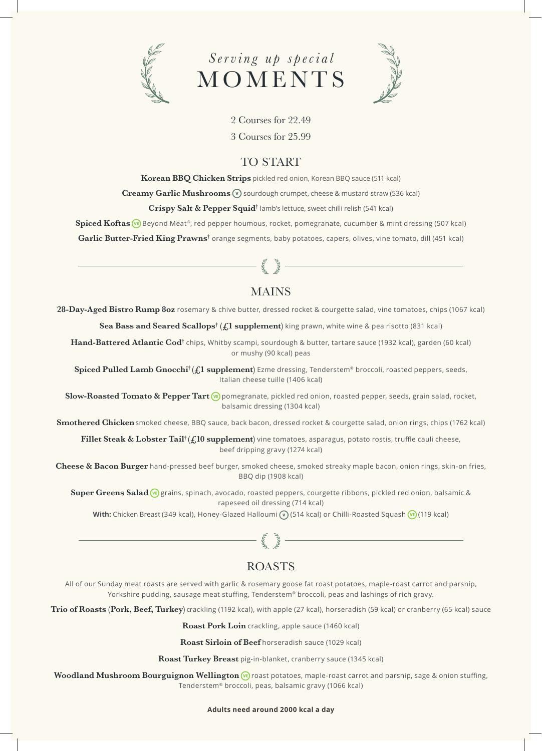





2 Courses for 22.49

3 Courses for 25.99

## TO START

**Korean BBQ Chicken Strips** pickled red onion, Korean BBQ sauce (511 kcal) **Creamy Garlic Mushrooms**  $\widehat{v}$  sourdough crumpet, cheese & mustard straw (536 kcal)

**Crispy Salt & Pepper Squid†** lamb's lettuce, sweet chilli relish (541 kcal)

**Spiced Koftas** ( $\Phi$ ) Beyond Meat<sup>®</sup>, red pepper houmous, rocket, pomegranate, cucumber & mint dressing (507 kcal)

**Garlic Butter-Fried King Prawns†** orange segments, baby potatoes, capers, olives, vine tomato, dill (451 kcal)

# **MAINS**

 $-57$ 

**28-Day-Aged Bistro Rump 8oz** rosemary & chive butter, dressed rocket & courgette salad, vine tomatoes, chips (1067 kcal)

**Sea Bass and Seared Scallops† (£1 supplement)** king prawn, white wine & pea risotto (831 kcal)

**Hand-Battered Atlantic Cod†** chips, Whitby scampi, sourdough & butter, tartare sauce (1932 kcal), garden (60 kcal) or mushy (90 kcal) peas

**Spiced Pulled Lamb Gnocchi† (£1 supplement)** Ezme dressing, Tenderstem® broccoli, roasted peppers, seeds, Italian cheese tuille (1406 kcal)

**Slow-Roasted Tomato & Pepper Tart** ( $\overline{u}$ ) pomegranate, pickled red onion, roasted pepper, seeds, grain salad, rocket, balsamic dressing (1304 kcal)

**Smothered Chicken**smoked cheese, BBQ sauce, back bacon, dressed rocket & courgette salad, onion rings, chips (1762 kcal)

Fillet Steak & Lobster Tail<sup>†</sup> (£10 supplement) vine tomatoes, asparagus, potato rostis, truffle cauli cheese, beef dripping gravy (1274 kcal)

**Cheese & Bacon Burger** hand-pressed beef burger, smoked cheese, smoked streaky maple bacon, onion rings, skin-on fries, BBQ dip (1908 kcal)

**Super Greens Salad** (<sup>6</sup>) grains, spinach, avocado, roasted peppers, courgette ribbons, pickled red onion, balsamic & rapeseed oil dressing (714 kcal)

With: Chicken Breast (349 kcal), Honey-Glazed Halloumi (v) (514 kcal) or Chilli-Roasted Squash (ve) (119 kcal)

# ROASTS

All of our Sunday meat roasts are served with garlic & rosemary goose fat roast potatoes, maple-roast carrot and parsnip, Yorkshire pudding, sausage meat stuffing, Tenderstem® broccoli, peas and lashings of rich gravy.

**Trio of Roasts (Pork, Beef, Turkey)** crackling (1192 kcal), with apple (27 kcal), horseradish (59 kcal) or cranberry (65 kcal) sauce

**Roast Pork Loin** crackling, apple sauce (1460 kcal)

**Roast Sirloin of Beef** horseradish sauce (1029 kcal)

**Roast Turkey Breast** pig-in-blanket, cranberry sauce (1345 kcal)

**Woodland Mushroom Bourguignon Wellington**  $\overline{w}$  roast potatoes, maple-roast carrot and parsnip, sage & onion stuffing, Tenderstem® broccoli, peas, balsamic gravy (1066 kcal)